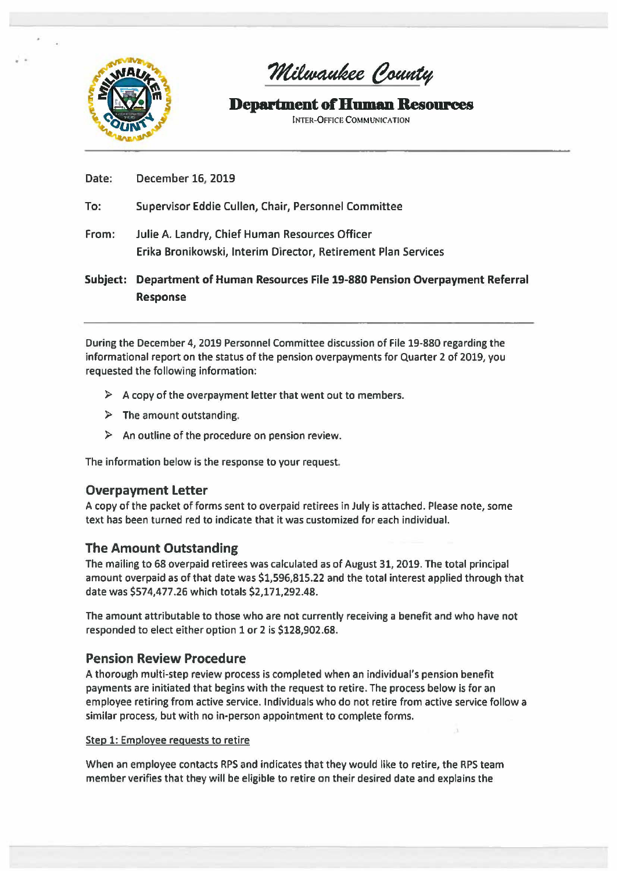

. .

Milwaukee County

# **Department of Human Resources**

INTER-OFFICE COMMUNICATION

## Date: December 16, 2019

To: Supervisor Eddie Cullen, Chair, Personnel Committee

From: Julie A. Landry, Chief Human Resources Officer Erika Bronikowski, Interim Director, Retirement Plan Services

Subject: Department of Human Resources File 19-880 Pension Overpayment Referral Response

During the December 4, 2019 Personnel Committee discussion of File 19-880 regarding the informational report on the status of the pension overpayments for Quarter 2 of 2019, you requested the following information:

- $\triangleright$  A copy of the overpayment letter that went out to members.
- $\triangleright$  The amount outstanding.
- $\triangleright$  An outline of the procedure on pension review.

The information below is the response to your request

## Overpayment Letter

A copy of the packet of forms sent to overpaid retirees in July is attached. Please note, some text has been turned red to indicate that it was customized for each individual.

## The Amount Outstanding

The mailing to 68 overpaid retirees was calculated as of August 31, 2019. The total principal amount overpaid as of that date was \$1,596,815.22 and the total interest applied through that date was \$574,477.26 which totals \$2,171,292.48.

The amount attributable to those who are not currently receiving a benefit and who have not responded to elect either option 1 or 2 is \$128,902.68.

## Pension Review Procedure

A thorough multi-step review process is completed when an individual's pension benefit payments are initiated that begins with the request to retire. The process below is for an employee retiring from active service. Individuals who do not retire from active service follow a similar process, but with no in-person appointment to complete forms.

### Step 1: Employee requests to retire

When an employee contacts RPS and indicates that they would like to retire, the RPS team member verifies that they will be eligible to retire on their desired date and explains the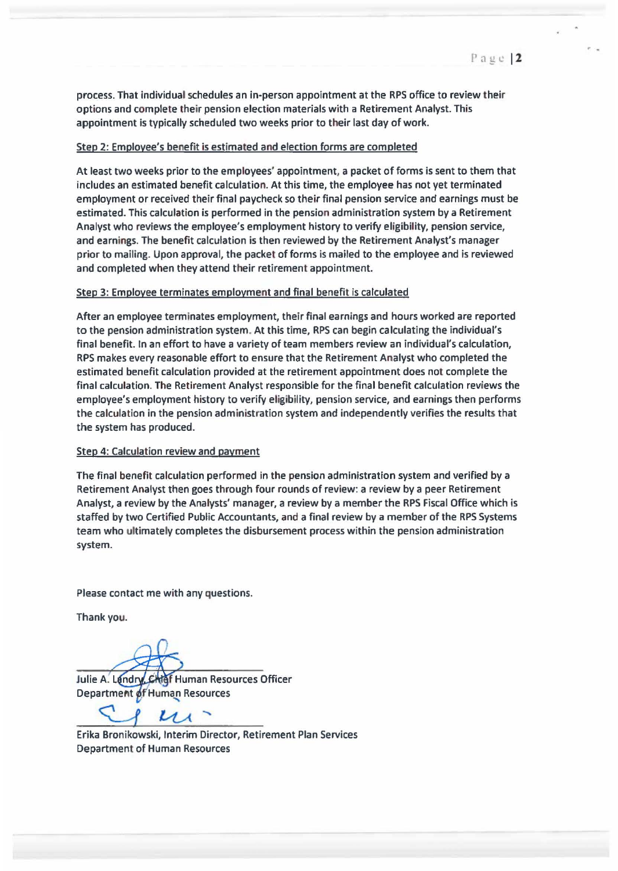*r* •

process. That individual schedules an in-person appointment at the RPS office to review their options and complete their pension election materials with a Retirement Analyst. This appointment is typically scheduled two weeks prior to their last day of work.

### Step 2: Employee's benefit is estimated and election forms are completed

At least two weeks prior to the employees' appointment, a packet of forms is sent to them that includes an estimated benefit calculation. At this time, the employee has not yet terminated employment or received their final paycheck so their final pension service and earnings must be estimated. This calculation is performed in the pension administration system by a Retirement Analyst who reviews the employee's employment history to verify eligibility, pension service, and earnings. The benefit calculation is then reviewed by the Retirement Analyst's manager prior to mailing. Upon approval, the packet of forms is mailed to the employee and is reviewed and completed when they attend their retirement appointment.

### Step 3: Employee terminates employment and final benefit is calculated

After an employee terminates employment, their final earnings and hours worked are reported to the pension administration system. At this time, RPS can begin calculating the individual's final benefit. In an effort to have a variety of team members review an individual's calculation, RPS makes every reasonable effort to ensure that the Retirement Analyst who completed the estimated benefit calculation provided at the retirement appointment does not complete the final calculation. The Retirement Analyst responsible for the final benefit calculation reviews the employee's employment history to verify eligibility, pension service, and earnings then performs the calculation in the pension administration system and independently verifies the results that the system has produced.

### Step 4: Calculation review and payment

The final benefit calculation performed in the pension administration system and verified by a Retirement Analyst then goes through four rounds of review: a review by a peer Retirement Analyst, a review by the Analysts' manager, a review by a member the RPS Fiscal Office which is staffed by two Certified Public Accountants, and a final review by a member of the RPS Systems team who ultimately completes the disbursement process within the pension administration system.

Please contact me with any questions.

Thank you.

Julie A. Landry, Chief Human Resources Officer Department of Human Resources

Erika Bronikowski, Interim Director, Retirement Plan Services Department of Human Resources